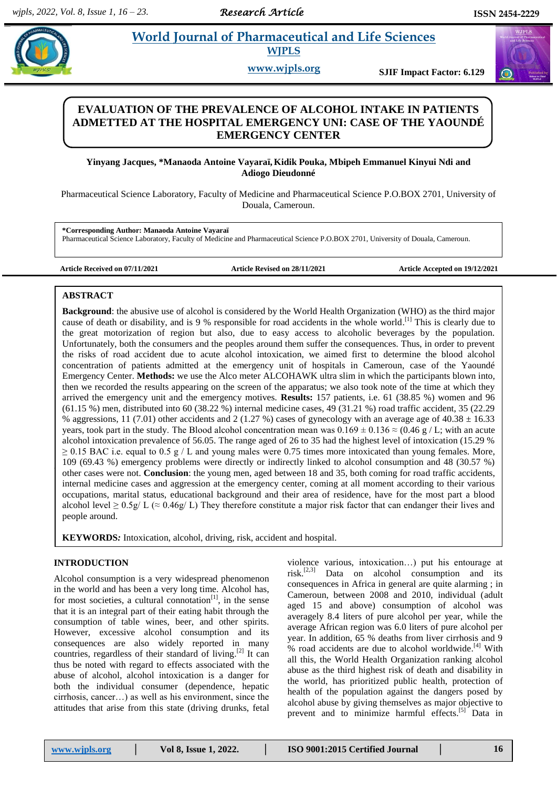# **Paramaceutical and Life Sciences WJPLS**

**www.wjpls.org SJIF Impact Factor: 6.129**

# **EVALUATION OF THE PREVALENCE OF ALCOHOL INTAKE IN PATIENTS ADMETTED AT THE HOSPITAL EMERGENCY UNI: CASE OF THE YAOUNDÉ EMERGENCY CENTER**

**Yinyang Jacques, \*Manaoda Antoine Vayaraï, Kidik Pouka, Mbipeh Emmanuel Kinyui Ndi and Adiogo Dieudonné**

Pharmaceutical Science Laboratory, Faculty of Medicine and Pharmaceutical Science P.O.BOX 2701, University of Douala, Cameroun.

**\*Corresponding Author: Manaoda Antoine Vayaraï** Pharmaceutical Science Laboratory, Faculty of Medicine and Pharmaceutical Science P.O.BOX 2701, University of Douala, Cameroun.

**Article Received on 07/11/2021 Article Revised on 28/11/2021 Article Accepted on 19/12/2021**

# **ABSTRACT**

**Background**: the abusive use of alcohol is considered by the World Health Organization (WHO) as the third major cause of death or disability, and is 9 % responsible for road accidents in the whole world.<sup>[1]</sup> This is clearly due to the great motorization of region but also, due to easy access to alcoholic beverages by the population. Unfortunately, both the consumers and the peoples around them suffer the consequences. Thus, in order to prevent the risks of road accident due to acute alcohol intoxication, we aimed first to determine the blood alcohol concentration of patients admitted at the emergency unit of hospitals in Cameroun, case of the Yaoundé Emergency Center. **Methods:** we use the Alco meter ALCOHAWK ultra slim in which the participants blown into, then we recorded the results appearing on the screen of the apparatus; we also took note of the time at which they arrived the emergency unit and the emergency motives. **Results:** 157 patients, i.e. 61 (38.85 %) women and 96 (61.15 %) men, distributed into 60 (38.22 %) internal medicine cases, 49 (31.21 %) road traffic accident, 35 (22.29 % aggressions, 11 (7.01) other accidents and 2 (1.27 %) cases of gynecology with an average age of 40.38  $\pm$  16.33 years, took part in the study. The Blood alcohol concentration mean was  $0.169 \pm 0.136 \approx (0.46 \text{ g}/L)$ ; with an acute alcohol intoxication prevalence of 56.05. The range aged of 26 to 35 had the highest level of intoxication (15.29 %  $\geq$  0.15 BAC i.e. equal to 0.5 g / L and young males were 0.75 times more intoxicated than young females. More, 109 (69.43 %) emergency problems were directly or indirectly linked to alcohol consumption and 48 (30.57 %) other cases were not. **Conclusion**: the young men, aged between 18 and 35, both coming for road traffic accidents, internal medicine cases and aggression at the emergency center, coming at all moment according to their various occupations, marital status, educational background and their area of residence, have for the most part a blood alcohol level  $\geq 0.5g/L$  ( $\approx 0.46g/L$ ) They therefore constitute a major risk factor that can endanger their lives and people around.

**KEYWORDS***:* Intoxication, alcohol, driving, risk, accident and hospital.

# **INTRODUCTION**

.

Alcohol consumption is a very widespread phenomenon in the world and has been a very long time. Alcohol has, for most societies, a cultural connotation<sup>[1]</sup>, in the sense that it is an integral part of their eating habit through the consumption of table wines, beer, and other spirits. However, excessive alcohol consumption and its consequences are also widely reported in many countries, regardless of their standard of living.<sup>[2]</sup> It can thus be noted with regard to effects associated with the abuse of alcohol, alcohol intoxication is a danger for both the individual consumer (dependence, hepatic cirrhosis, cancer…) as well as his environment, since the attitudes that arise from this state (driving drunks, fetal violence various, intoxication…) put his entourage at risk. [2,3] Data on alcohol consumption and its consequences in Africa in general are quite alarming ; in Cameroun, between 2008 and 2010, individual (adult aged 15 and above) consumption of alcohol was averagely 8.4 liters of pure alcohol per year, while the average African region was 6.0 liters of pure alcohol per year. In addition, 65 % deaths from liver cirrhosis and 9 % road accidents are due to alcohol worldwide.<sup>[4]</sup> With all this, the World Health Organization ranking alcohol abuse as the third highest risk of death and disability in the world, has prioritized public health, protection of health of the population against the dangers posed by alcohol abuse by giving themselves as major objective to prevent and to minimize harmful effects.<sup>[5]</sup> Data in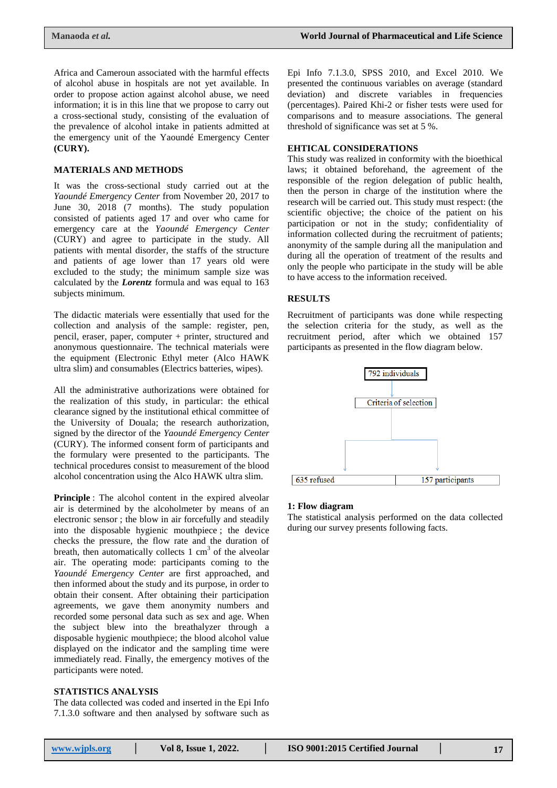Africa and Cameroun associated with the harmful effects of alcohol abuse in hospitals are not yet available. In order to propose action against alcohol abuse, we need information; it is in this line that we propose to carry out a cross-sectional study, consisting of the evaluation of the prevalence of alcohol intake in patients admitted at the emergency unit of the Yaoundé Emergency Center **(CURY).**

### **MATERIALS AND METHODS**

It was the cross-sectional study carried out at the *Yaoundé Emergency Center* from November 20, 2017 to June 30, 2018 (7 months). The study population consisted of patients aged 17 and over who came for emergency care at the *Yaoundé Emergency Center* (CURY) and agree to participate in the study. All patients with mental disorder, the staffs of the structure and patients of age lower than 17 years old were excluded to the study; the minimum sample size was calculated by the *Lorentz* formula and was equal to 163 subjects minimum.

The didactic materials were essentially that used for the collection and analysis of the sample: register, pen, pencil, eraser, paper, computer + printer, structured and anonymous questionnaire. The technical materials were the equipment (Electronic Ethyl meter (Alco HAWK ultra slim) and consumables (Electrics batteries, wipes).

All the administrative authorizations were obtained for the realization of this study, in particular: the ethical clearance signed by the institutional ethical committee of the University of Douala; the research authorization, signed by the director of the *Yaoundé Emergency Center* (CURY). The informed consent form of participants and the formulary were presented to the participants. The technical procedures consist to measurement of the blood alcohol concentration using the Alco HAWK ultra slim.

**Principle** : The alcohol content in the expired alveolar air is determined by the alcoholmeter by means of an electronic sensor ; the blow in air forcefully and steadily into the disposable hygienic mouthpiece ; the device checks the pressure, the flow rate and the duration of breath, then automatically collects  $1 \text{ cm}^3$  of the alveolar air. The operating mode: participants coming to the *Yaoundé Emergency Center* are first approached, and then informed about the study and its purpose, in order to obtain their consent. After obtaining their participation agreements, we gave them anonymity numbers and recorded some personal data such as sex and age. When the subject blew into the breathalyzer through a disposable hygienic mouthpiece; the blood alcohol value displayed on the indicator and the sampling time were immediately read. Finally, the emergency motives of the participants were noted.

## **STATISTICS ANALYSIS**

The data collected was coded and inserted in the Epi Info 7.1.3.0 software and then analysed by software such as Epi Info 7.1.3.0, SPSS 2010, and Excel 2010. We presented the continuous variables on average (standard deviation) and discrete variables in frequencies (percentages). Paired Khi-2 or fisher tests were used for comparisons and to measure associations. The general threshold of significance was set at 5 %.

## **EHTICAL CONSIDERATIONS**

This study was realized in conformity with the bioethical laws; it obtained beforehand, the agreement of the responsible of the region delegation of public health, then the person in charge of the institution where the research will be carried out. This study must respect: (the scientific objective; the choice of the patient on his participation or not in the study; confidentiality of information collected during the recruitment of patients; anonymity of the sample during all the manipulation and during all the operation of treatment of the results and only the people who participate in the study will be able to have access to the information received.

### **RESULTS**

Recruitment of participants was done while respecting the selection criteria for the study, as well as the recruitment period, after which we obtained 157 participants as presented in the flow diagram below.



### **1: Flow diagram**

The statistical analysis performed on the data collected during our survey presents following facts.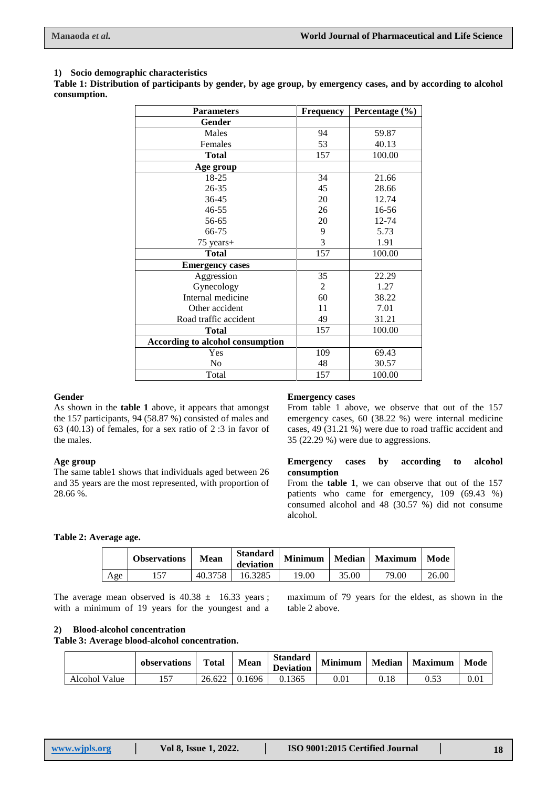# **1) Socio demographic characteristics**

**Table 1: Distribution of participants by gender, by age group, by emergency cases, and by according to alcohol consumption.**

| <b>Parameters</b>                | Frequency | Percentage $(\% )$ |
|----------------------------------|-----------|--------------------|
| Gender                           |           |                    |
| Males                            | 94        | 59.87              |
| Females                          | 53        | 40.13              |
| <b>Total</b>                     | 157       | 100.00             |
| Age group                        |           |                    |
| 18-25                            | 34        | 21.66              |
| 26-35                            | 45        | 28.66              |
| 36-45                            | 20        | 12.74              |
| 46-55                            | 26        | $16 - 56$          |
| 56-65                            | 20        | 12-74              |
| 66-75                            | 9         | 5.73               |
| 75 years+                        | 3         | 1.91               |
| Total                            | 157       | 100.00             |
| <b>Emergency cases</b>           |           |                    |
| Aggression                       | 35        | 22.29              |
| Gynecology                       | 2         | 1.27               |
| Internal medicine                | 60        | 38.22              |
| Other accident                   | 11        | 7.01               |
| Road traffic accident            | 49        | 31.21              |
| <b>Total</b>                     | 157       | 100.00             |
| According to alcohol consumption |           |                    |
| Yes                              | 109       | 69.43              |
| No                               | 48        | 30.57              |
| Total                            | 157       | 100.00             |

### **Gender**

As shown in the **table 1** above, it appears that amongst the 157 participants, 94 (58.87 %) consisted of males and 63 (40.13) of females, for a sex ratio of 2 :3 in favor of the males.

# **Age group**

The same table1 shows that individuals aged between 26 and 35 years are the most represented, with proportion of 28.66 %.

## **Emergency cases**

From table 1 above, we observe that out of the 157 emergency cases, 60 (38.22 %) were internal medicine cases, 49 (31.21 %) were due to road traffic accident and 35 (22.29 %) were due to aggressions.

### **Emergency cases by according to alcohol consumption**

From the **table 1**, we can observe that out of the 157 patients who came for emergency, 109 (69.43 %) consumed alcohol and 48 (30.57 %) did not consume alcohol.

**Table 2: Average age.**

|     | <b>Observations</b> | Mean    | <b>Standard</b><br>deviation | <b>Minimum</b> |       | Median   Maximum | Mode  |
|-----|---------------------|---------|------------------------------|----------------|-------|------------------|-------|
| Age |                     | 40.3758 | 16.3285                      | 19.00          | 35.00 | 79.00            | 26.00 |

The average mean observed is  $40.38 \pm 16.33$  years; with a minimum of 19 years for the youngest and a

maximum of 79 years for the eldest, as shown in the table 2 above.

# **2) Blood-alcohol concentration**

**Table 3: Average blood-alcohol concentration.**

|               | observations | <b>Total</b> | <b>Mean</b> | <b>Standard</b><br><b>Deviation</b> | <b>Minimum</b> | <b>Median</b> | <b>Maximum</b> | Mode |
|---------------|--------------|--------------|-------------|-------------------------------------|----------------|---------------|----------------|------|
| Alcohol Value | 157          | 26.622       | 0.1696      | 0.1365                              | $0.01\,$       | 0.18          | 0.53           | 0.01 |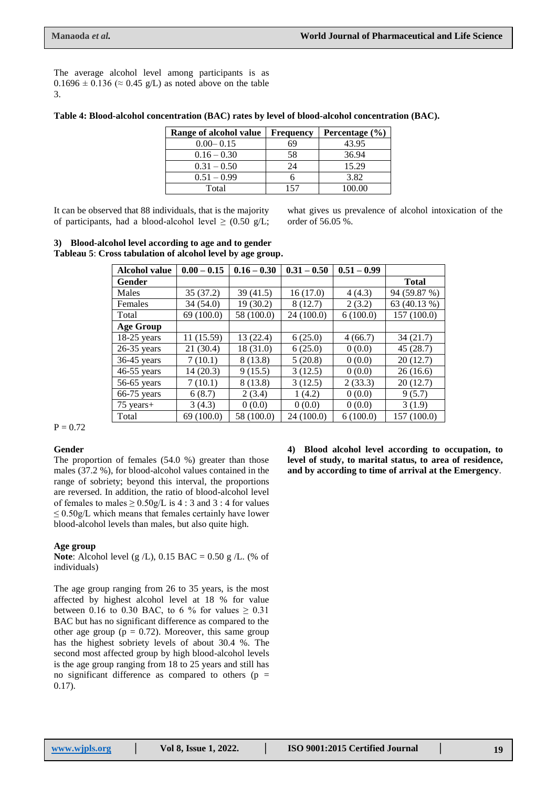The average alcohol level among participants is as  $0.1696 \pm 0.136 \approx 0.45$  g/L) as noted above on the table 3.

| Table 4: Blood-alcohol concentration (BAC) rates by level of blood-alcohol concentration (BAC). |  |  |  |  |  |
|-------------------------------------------------------------------------------------------------|--|--|--|--|--|
|-------------------------------------------------------------------------------------------------|--|--|--|--|--|

| Range of alcohol value | <b>Frequency</b> | Percentage (%) |
|------------------------|------------------|----------------|
| $0.00 - 0.15$          | 69               | 43.95          |
| $0.16 - 0.30$          | 58               | 36.94          |
| $0.31 - 0.50$          | 24               | 15.29          |
| $0.51 - 0.99$          |                  | 3.82           |
| Total                  | 157              | 100.00         |

It can be observed that 88 individuals, that is the majority of participants, had a blood-alcohol level  $\geq$  (0.50 g/L; what gives us prevalence of alcohol intoxication of the order of 56.05 %.

## **3) Blood-alcohol level according to age and to gender Tableau 5**: **Cross tabulation of alcohol level by age group.**

| <b>Alcohol value</b> | $0.00 - 0.15$ | $0.16 - 0.30$ | $0.31 - 0.50$ | $0.51 - 0.99$ |              |
|----------------------|---------------|---------------|---------------|---------------|--------------|
| Gender               |               |               |               |               | <b>Total</b> |
| Males                | 35(37.2)      | 39(41.5)      | 16(17.0)      | 4(4.3)        | 94 (59.87 %) |
| Females              | 34(54.0)      | 19 (30.2)     | 8(12.7)       | 2(3.2)        | 63 (40.13 %) |
| Total                | 69 (100.0)    | 58 (100.0)    | 24 (100.0)    | 6(100.0)      | 157 (100.0)  |
| <b>Age Group</b>     |               |               |               |               |              |
| $18-25$ years        | 11 (15.59)    | 13 (22.4)     | 6(25.0)       | 4(66.7)       | 34(21.7)     |
| $26-35$ years        | 21 (30.4)     | 18 (31.0)     | 6(25.0)       | 0(0.0)        | 45 (28.7)    |
| $36-45$ years        | 7(10.1)       | 8(13.8)       | 5(20.8)       | 0(0.0)        | 20(12.7)     |
| $46-55$ years        | 14(20.3)      | 9(15.5)       | 3(12.5)       | 0(0.0)        | 26(16.6)     |
| $56-65$ years        | 7(10.1)       | 8 (13.8)      | 3(12.5)       | 2(33.3)       | 20(12.7)     |
| 66-75 years          | 6(8.7)        | 2(3.4)        | 1(4.2)        | 0(0.0)        | 9(5.7)       |
| $75$ years+          | 3(4.3)        | 0(0.0)        | 0(0.0)        | 0(0.0)        | 3(1.9)       |
| Total                | 69 (100.0)    | 58 (100.0)    | 24 (100.0)    | 6(100.0)      | 157 (100.0)  |

 $P = 0.72$ 

# **Gender**

The proportion of females (54.0 %) greater than those males (37.2 %), for blood-alcohol values contained in the range of sobriety; beyond this interval, the proportions are reversed. In addition, the ratio of blood-alcohol level of females to males  $\geq 0.50g/L$  is 4 : 3 and 3 : 4 for values  $\leq$  0.50g/L which means that females certainly have lower blood-alcohol levels than males, but also quite high.

### **Age group**

**Note**: Alcohol level (g /L), 0.15 BAC = 0.50 g /L. (% of individuals)

The age group ranging from 26 to 35 years, is the most affected by highest alcohol level at 18 % for value between 0.16 to 0.30 BAC, to 6 % for values  $\geq 0.31$ BAC but has no significant difference as compared to the other age group ( $p = 0.72$ ). Moreover, this same group has the highest sobriety levels of about 30.4 %. The second most affected group by high blood-alcohol levels is the age group ranging from 18 to 25 years and still has no significant difference as compared to others ( $p =$ 0.17).

**4) Blood alcohol level according to occupation, to level of study, to marital status, to area of residence, and by according to time of arrival at the Emergency**.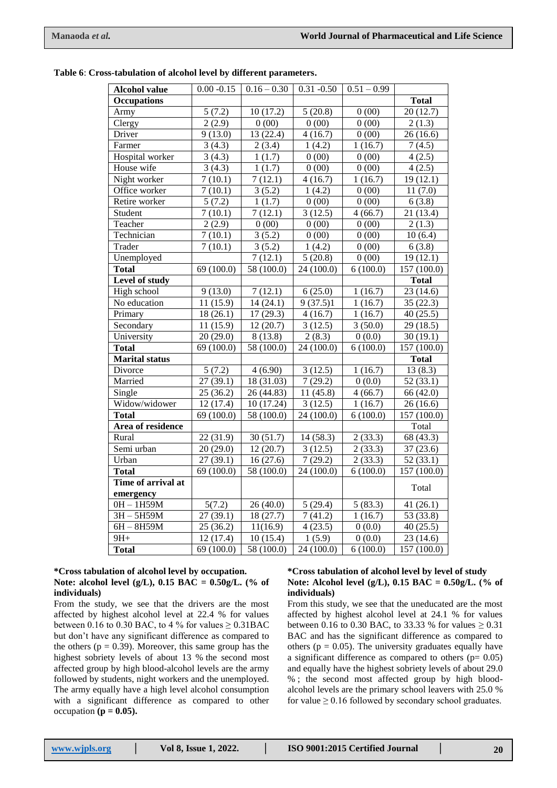|  |  |  | Table 6: Cross-tabulation of alcohol level by different parameters. |
|--|--|--|---------------------------------------------------------------------|
|--|--|--|---------------------------------------------------------------------|

| <b>Alcohol value</b>      | $0.00 - 0.15$           | $0.16 - 0.30$       | $0.31 - 0.50$ | $0.51 - 0.99$       |              |
|---------------------------|-------------------------|---------------------|---------------|---------------------|--------------|
| <b>Occupations</b>        |                         |                     |               |                     | <b>Total</b> |
| Army                      | 5(7.2)                  | 10(17.2)            | 5(20.8)       | 0(00)               | 20(12.7)     |
| Clergy                    | 2(2.9)                  | 0(00)               | 0(00)         | 0(00)               | 2(1.3)       |
| Driver                    | $\overline{9}$ (13.0)   | 13(22.4)            | 4(16.7)       | 0(00)               | 26(16.6)     |
| Farmer                    | 3(4.3)                  | 2(3.4)              | 1(4.2)        | 1(16.7)             | 7(4.5)       |
| Hospital worker           | 3(4.3)                  | 1(1.7)              | 0(00)         | 0(00)               | 4(2.5)       |
| House wife                | 3(4.3)                  | 1(1.7)              | 0(00)         | 0(00)               | 4(2.5)       |
| Night worker              | 7(10.1)                 | 7(12.1)             | 4(16.7)       | 1(16.7)             | 19(12.1)     |
| Office worker             | 7(10.1)                 | 3(5.2)              | 1(4.2)        | 0(00)               | 11(7.0)      |
| Retire worker             | 5(7.2)                  | 1(1.7)              | 0(00)         | 0(00)               | 6(3.8)       |
| Student                   | 7(10.1)                 | 7(12.1)             | 3(12.5)       | $\frac{1}{4(66.7)}$ | 21 (13.4)    |
| Teacher                   | 2(2.9)                  | 0(00)               | 0(00)         | 0(00)               | 2(1.3)       |
| Technician                | 7(10.1)                 | 3(5.2)              | 0(00)         | 0(00)               | 10(6.4)      |
| Trader                    | 7(10.1)                 | 3(5.2)              | 1(4.2)        | 0(00)               | 6(3.8)       |
| Unemployed                |                         | $\frac{1}{7}(12.1)$ | 5(20.8)       | 0(00)               | 19(12.1)     |
| <b>Total</b>              | 69 (100.0)              | 58 (100.0)          | 24 (100.0)    | 6(100.0)            | 157 (100.0)  |
| Level of study            |                         |                     |               |                     | <b>Total</b> |
| High school               | 9(13.0)                 | 7(12.1)             | 6(25.0)       | 1(16.7)             | 23(14.6)     |
| No education              | 11(15.9)                | 14(24.1)            | 9(37.5)1      | 1(16.7)             | 35 (22.3)    |
| Primary                   | 18(26.1)                | 17(29.3)            | 4(16.7)       | 1(16.7)             | 40(25.5)     |
| Secondary                 | 11(15.9)                | 12(20.7)            | 3(12.5)       | 3(50.0)             | 29 (18.5)    |
| University                | 20(29.0)                | 8(13.8)             | 2(8.3)        | 0(0.0)              | 30(19.1)     |
| <b>Total</b>              | $\overline{69}$ (100.0) | 58 (100.0)          | 24 (100.0)    | 6(100.0)            | 157 (100.0)  |
| <b>Marital status</b>     |                         |                     |               |                     | <b>Total</b> |
| Divorce                   | 5(7.2)                  | 4(6.90)             | 3(12.5)       | 1(16.7)             | 13(8.3)      |
| Married                   | 27(39.1)                | 18(31.03)           | 7(29.2)       | 0(0.0)              | 52(33.1)     |
| Single                    | 25(36.2)                | 26(44.83)           | 11(45.8)      | 4(66.7)             | 66 (42.0)    |
| Widow/widower             | 12(17.4)                | 10 (17.24)          | 3(12.5)       | 1(16.7)             | 26(16.6)     |
| <b>Total</b>              | 69 (100.0)              | 58 (100.0)          | 24 (100.0)    | 6(100.0)            | 157 (100.0)  |
| Area of residence         |                         |                     |               |                     | Total        |
| Rural                     | 22(31.9)                | 30(51.7)            | 14(58.3)      | 2(33.3)             | 68 (43.3)    |
| Semi urban                | 20(29.0)                | 12(20.7)            | 3(12.5)       | 2(33.3)             | 37(23.6)     |
| Urban                     | 27(39.1)                | 16(27.6)            | 7(29.2)       | 2(33.3)             | 52(33.1)     |
| <b>Total</b>              | 69 (100.0)              | 58 (100.0)          | 24 (100.0)    | 6(100.0)            | 157 (100.0)  |
| Time of arrival at        |                         |                     |               |                     | Total        |
| emergency<br>$OH - 1H59M$ | 5(7.2)                  | 26(40.0)            | 5(29.4)       | 5(83.3)             | 41(26.1)     |
| $3H - 5H59M$              | 27(39.1)                | 18 (27.7)           | 7(41.2)       | 1(16.7)             | 53 (33.8)    |
| $6H - 8H59M$              | 25(36.2)                | 11(16.9)            | 4(23.5)       | 0(0.0)              | 40(25.5)     |
| $9H+$                     | 12(17.4)                | 10(15.4)            | 1(5.9)        | 0(0.0)              | 23(14.6)     |
| <b>Total</b>              | 69 (100.0)              | 58 (100.0)          | 24 (100.0)    | 6(100.0)            | 157 (100.0)  |

## **\*Cross tabulation of alcohol level by occupation. Note: alcohol level (g/L), 0.15 BAC = 0.50g/L. (% of individuals)**

From the study, we see that the drivers are the most affected by highest alcohol level at 22.4 % for values between 0.16 to 0.30 BAC, to 4 % for values  $\geq$  0.31BAC but don't have any significant difference as compared to the others ( $p = 0.39$ ). Moreover, this same group has the highest sobriety levels of about 13 % the second most affected group by high blood-alcohol levels are the army followed by students, night workers and the unemployed. The army equally have a high level alcohol consumption with a significant difference as compared to other occupation  $(p = 0.05)$ .

### **\*Cross tabulation of alcohol level by level of study Note: Alcohol level (g/L), 0.15 BAC = 0.50g/L. (% of individuals)**

From this study, we see that the uneducated are the most affected by highest alcohol level at 24.1 % for values between 0.16 to 0.30 BAC, to 33.33 % for values  $\geq 0.31$ BAC and has the significant difference as compared to others ( $p = 0.05$ ). The university graduates equally have a significant difference as compared to others  $(p= 0.05)$ and equally have the highest sobriety levels of about 29.0 % ; the second most affected group by high bloodalcohol levels are the primary school leavers with 25.0 % for value  $\geq 0.16$  followed by secondary school graduates.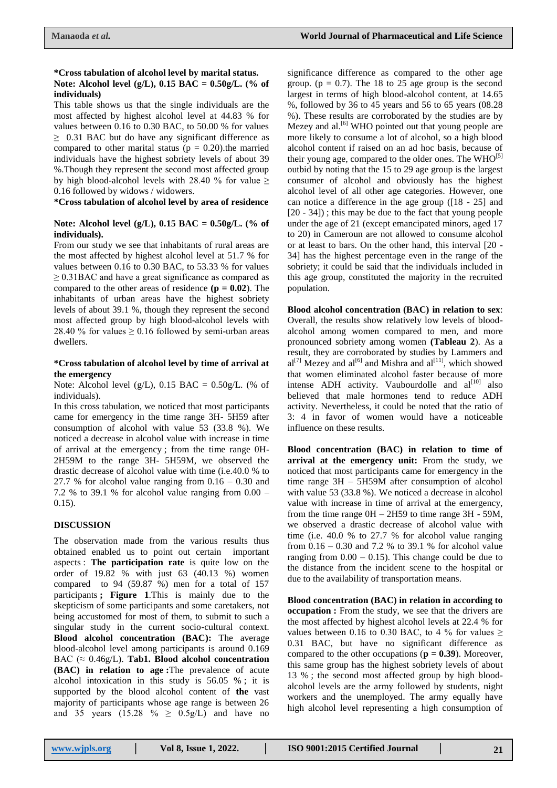#### **\*Cross tabulation of alcohol level by marital status. Note: Alcohol level (g/L), 0.15 BAC = 0.50g/L. (% of individuals)**

This table shows us that the single individuals are the most affected by highest alcohol level at 44.83 % for values between 0.16 to 0.30 BAC, to 50.00 % for values  $\geq$  0.31 BAC but do have any significant difference as compared to other marital status ( $p = 0.20$ ).the married individuals have the highest sobriety levels of about 39 %.Though they represent the second most affected group by high blood-alcohol levels with 28.40 % for value  $\geq$ 0.16 followed by widows / widowers.

**\*Cross tabulation of alcohol level by area of residence**

# **Note: Alcohol level (g/L), 0.15 BAC = 0.50g/L. (% of individuals).**

From our study we see that inhabitants of rural areas are the most affected by highest alcohol level at 51.7 % for values between 0.16 to 0.30 BAC, to 53.33 % for values  $\geq$  0.31BAC and have a great significance as compared as compared to the other areas of residence  $(p = 0.02)$ . The inhabitants of urban areas have the highest sobriety levels of about 39.1 %, though they represent the second most affected group by high blood-alcohol levels with 28.40 % for values  $\geq$  0.16 followed by semi-urban areas dwellers.

# **\*Cross tabulation of alcohol level by time of arrival at the emergency**

Note: Alcohol level (g/L),  $0.15$  BAC =  $0.50$ g/L. (% of individuals).

In this cross tabulation, we noticed that most participants came for emergency in the time range 3H- 5H59 after consumption of alcohol with value 53 (33.8 %). We noticed a decrease in alcohol value with increase in time of arrival at the emergency ; from the time range 0H-2H59M to the range 3H- 5H59M, we observed the drastic decrease of alcohol value with time (i.e.40.0 % to 27.7 % for alcohol value ranging from  $0.16 - 0.30$  and 7.2 % to 39.1 % for alcohol value ranging from  $0.00 -$ 0.15).

# **DISCUSSION**

The observation made from the various results thus obtained enabled us to point out certain important aspects : **The participation rate** is quite low on the order of 19.82 % with just 63 (40.13 %) women compared to 94 (59.87 %) men for a total of 157 participants **; Figure 1**.This is mainly due to the skepticism of some participants and some caretakers, not being accustomed for most of them, to submit to such a singular study in the current socio-cultural context. **Blood alcohol concentration (BAC):** The average blood-alcohol level among participants is around 0.169 BAC (≈ 0.46g/L). **Tab1. Blood alcohol concentration (BAC) in relation to age :**The prevalence of acute alcohol intoxication in this study is 56.05 % ; it is supported by the blood alcohol content of **the** vast majority of participants whose age range is between 26 and 35 years (15.28 %  $\geq$  0.5g/L) and have no

significance difference as compared to the other age group. ( $p = 0.7$ ). The 18 to 25 age group is the second largest in terms of high blood-alcohol content, at 14.65 %, followed by 36 to 45 years and 56 to 65 years (08.28 %). These results are corroborated by the studies are by Mezey and al.<sup>[6]</sup> WHO pointed out that young people are more likely to consume a lot of alcohol, so a high blood alcohol content if raised on an ad hoc basis, because of their young age, compared to the older ones. The  $WHO^{[5]}$ outbid by noting that the 15 to 29 age group is the largest consumer of alcohol and obviously has the highest alcohol level of all other age categories. However, one can notice a difference in the age group ([18 - 25] and [20 - 34]) ; this may be due to the fact that young people under the age of 21 (except emancipated minors, aged 17 to 20) in Cameroun are not allowed to consume alcohol or at least to bars. On the other hand, this interval [20 - 34] has the highest percentage even in the range of the sobriety; it could be said that the individuals included in this age group, constituted the majority in the recruited population.

**Blood alcohol concentration (BAC) in relation to sex**: Overall, the results show relatively low levels of bloodalcohol among women compared to men, and more pronounced sobriety among women **(Tableau 2**). As a result, they are corroborated by studies by Lammers and  $al^{[7]}$  Mezey and  $al^{[6]}$  and Mishra and  $al^{[11]}$ , which showed that women eliminated alcohol faster because of more intense ADH activity. Vaubourdolle and  $al^{[10]}$  also believed that male hormones tend to reduce ADH activity. Nevertheless, it could be noted that the ratio of 3: 4 in favor of women would have a noticeable influence on these results.

**Blood concentration (BAC) in relation to time of arrival at the emergency unit:** From the study, we noticed that most participants came for emergency in the time range 3H – 5H59M after consumption of alcohol with value 53 (33.8 %). We noticed a decrease in alcohol value with increase in time of arrival at the emergency, from the time range  $OH - 2H59$  to time range  $3H - 59M$ , we observed a drastic decrease of alcohol value with time (i.e. 40.0 % to 27.7 % for alcohol value ranging from 0.16 – 0.30 and 7.2 % to 39.1 % for alcohol value ranging from  $0.00 - 0.15$ . This change could be due to the distance from the incident scene to the hospital or due to the availability of transportation means.

**Blood concentration (BAC) in relation in according to occupation :** From the study, we see that the drivers are the most affected by highest alcohol levels at 22.4 % for values between 0.16 to 0.30 BAC, to 4 % for values  $\geq$ 0.31 BAC, but have no significant difference as compared to the other occupations ( $\mathbf{p} = 0.39$ ). Moreover, this same group has the highest sobriety levels of about 13 % ; the second most affected group by high bloodalcohol levels are the army followed by students, night workers and the unemployed. The army equally have high alcohol level representing a high consumption of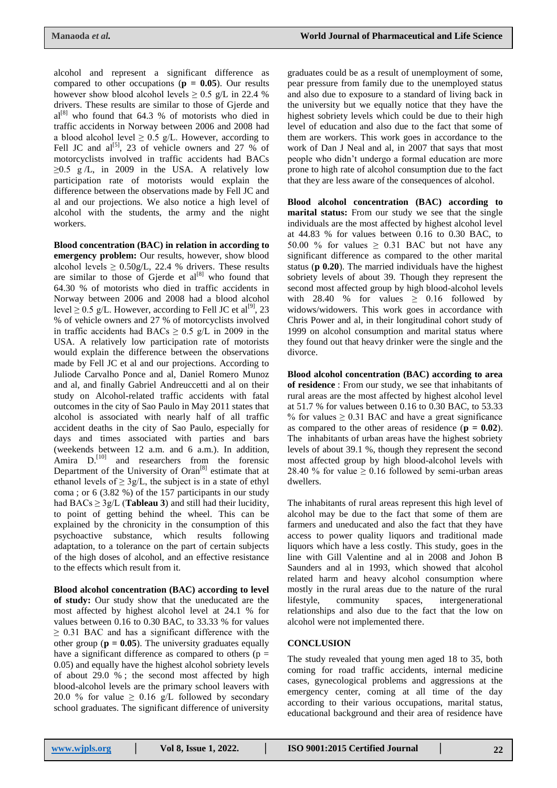alcohol and represent a significant difference as compared to other occupations ( $p = 0.05$ ). Our results however show blood alcohol levels  $\geq 0.5$  g/L in 22.4 % drivers. These results are similar to those of Gjerde and  $al^{[8]}$  who found that 64.3 % of motorists who died in traffic accidents in Norway between 2006 and 2008 had a blood alcohol level  $\geq 0.5$  g/L. However, according to Fell JC and  $al^{[5]}$ , 23 of vehicle owners and 27 % of motorcyclists involved in traffic accidents had BACs  $\geq 0.5$  g/L, in 2009 in the USA. A relatively low participation rate of motorists would explain the difference between the observations made by Fell JC and al and our projections. We also notice a high level of alcohol with the students, the army and the night workers.

**Blood concentration (BAC) in relation in according to emergency problem:** Our results, however, show blood alcohol levels  $\geq 0.50g/L$ , 22.4 % drivers. These results are similar to those of Gjerde et  $al^{[8]}$  who found that 64.30 % of motorists who died in traffic accidents in Norway between 2006 and 2008 had a blood alcohol level  $\geq$  0.5 g/L. However, according to Fell JC et al<sup>[9]</sup>, 23 % of vehicle owners and 27 % of motorcyclists involved in traffic accidents had BACs  $\geq$  0.5 g/L in 2009 in the USA. A relatively low participation rate of motorists would explain the difference between the observations made by Fell JC et al and our projections. According to Juliode Carvalho Ponce and al, Daniel Romero Munoz and al, and finally Gabriel Andreuccetti and al on their study on Alcohol-related traffic accidents with fatal outcomes in the city of Sao Paulo in May 2011 states that alcohol is associated with nearly half of all traffic accident deaths in the city of Sao Paulo, especially for days and times associated with parties and bars (weekends between 12 a.m. and 6 a.m.). In addition, Amira D.<sup>[10]</sup> and researchers from the forensic Department of the University of Oran<sup>[8]</sup> estimate that at ethanol levels of  $\geq$  3g/L, the subject is in a state of ethyl coma ; or 6 (3.82 %) of the 157 participants in our study had  $BACs \geq 3g/L$  (**Tableau 3**) and still had their lucidity, to point of getting behind the wheel. This can be explained by the chronicity in the consumption of this psychoactive substance, which results following adaptation, to a tolerance on the part of certain subjects of the high doses of alcohol, and an effective resistance to the effects which result from it.

**Blood alcohol concentration (BAC) according to level of study:** Our study show that the uneducated are the most affected by highest alcohol level at 24.1 % for values between 0.16 to 0.30 BAC, to 33.33 % for values  $\geq$  0.31 BAC and has a significant difference with the other group ( $\mathbf{p} = 0.05$ ). The university graduates equally have a significant difference as compared to others ( $p =$ 0.05) and equally have the highest alcohol sobriety levels of about 29.0 % ; the second most affected by high blood-alcohol levels are the primary school leavers with 20.0 % for value  $\geq$  0.16 g/L followed by secondary school graduates. The significant difference of university

graduates could be as a result of unemployment of some, pear pressure from family due to the unemployed status and also due to exposure to a standard of living back in the university but we equally notice that they have the highest sobriety levels which could be due to their high level of education and also due to the fact that some of them are workers. This work goes in accordance to the work of Dan J Neal and al, in 2007 that says that most people who didn't undergo a formal education are more prone to high rate of alcohol consumption due to the fact that they are less aware of the consequences of alcohol.

**Blood alcohol concentration (BAC) according to marital status:** From our study we see that the single individuals are the most affected by highest alcohol level at 44.83 % for values between 0.16 to 0.30 BAC, to 50.00 % for values  $\geq$  0.31 BAC but not have any significant difference as compared to the other marital status (**p 0.20**). The married individuals have the highest sobriety levels of about 39. Though they represent the second most affected group by high blood-alcohol levels with 28.40 % for values  $\geq$  0.16 followed by widows/widowers. This work goes in accordance with Chris Power and al, in their longitudinal cohort study of 1999 on alcohol consumption and marital status where they found out that heavy drinker were the single and the divorce.

**Blood alcohol concentration (BAC) according to area of residence** : From our study, we see that inhabitants of rural areas are the most affected by highest alcohol level at 51.7 % for values between 0.16 to 0.30 BAC, to 53.33 % for values  $\geq$  0.31 BAC and have a great significance as compared to the other areas of residence (**p = 0.02**). The inhabitants of urban areas have the highest sobriety levels of about 39.1 %, though they represent the second most affected group by high blood-alcohol levels with 28.40 % for value  $\geq$  0.16 followed by semi-urban areas dwellers.

The inhabitants of rural areas represent this high level of alcohol may be due to the fact that some of them are farmers and uneducated and also the fact that they have access to power quality liquors and traditional made liquors which have a less costly. This study, goes in the line with Gill Valentine and al in 2008 and Johon B Saunders and al in 1993, which showed that alcohol related harm and heavy alcohol consumption where mostly in the rural areas due to the nature of the rural lifestyle, community spaces, intergenerational relationships and also due to the fact that the low on alcohol were not implemented there.

# **CONCLUSION**

The study revealed that young men aged 18 to 35, both coming for road traffic accidents, internal medicine cases, gynecological problems and aggressions at the emergency center, coming at all time of the day according to their various occupations, marital status, educational background and their area of residence have